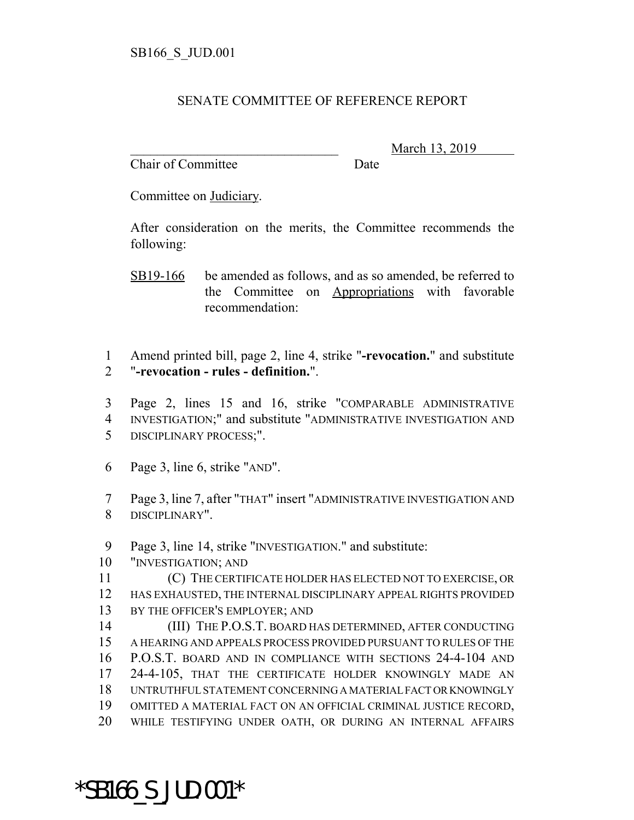## SENATE COMMITTEE OF REFERENCE REPORT

Chair of Committee Date

March 13, 2019

Committee on Judiciary.

After consideration on the merits, the Committee recommends the following:

1 Amend printed bill, page 2, line 4, strike "**-revocation.**" and substitute 2 "**-revocation - rules - definition.**".

3 Page 2, lines 15 and 16, strike "COMPARABLE ADMINISTRATIVE 4 INVESTIGATION;" and substitute "ADMINISTRATIVE INVESTIGATION AND 5 DISCIPLINARY PROCESS;".

6 Page 3, line 6, strike "AND".

7 Page 3, line 7, after "THAT" insert "ADMINISTRATIVE INVESTIGATION AND 8 DISCIPLINARY".

9 Page 3, line 14, strike "INVESTIGATION." and substitute:

10 "INVESTIGATION; AND

11 (C) THE CERTIFICATE HOLDER HAS ELECTED NOT TO EXERCISE, OR 12 HAS EXHAUSTED, THE INTERNAL DISCIPLINARY APPEAL RIGHTS PROVIDED 13 BY THE OFFICER'S EMPLOYER; AND

14 (III) THE P.O.S.T. BOARD HAS DETERMINED, AFTER CONDUCTING A HEARING AND APPEALS PROCESS PROVIDED PURSUANT TO RULES OF THE P.O.S.T. BOARD AND IN COMPLIANCE WITH SECTIONS 24-4-104 AND 24-4-105, THAT THE CERTIFICATE HOLDER KNOWINGLY MADE AN UNTRUTHFUL STATEMENT CONCERNING A MATERIAL FACT OR KNOWINGLY OMITTED A MATERIAL FACT ON AN OFFICIAL CRIMINAL JUSTICE RECORD, WHILE TESTIFYING UNDER OATH, OR DURING AN INTERNAL AFFAIRS

\*SB166\_S\_JUD.001\*

SB19-166 be amended as follows, and as so amended, be referred to the Committee on Appropriations with favorable recommendation: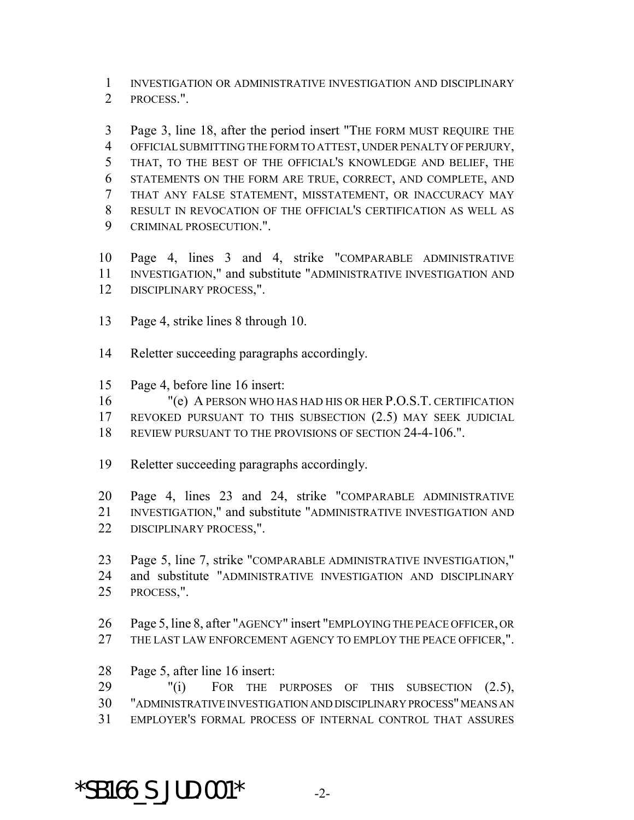INVESTIGATION OR ADMINISTRATIVE INVESTIGATION AND DISCIPLINARY PROCESS.".

 Page 3, line 18, after the period insert "THE FORM MUST REQUIRE THE OFFICIAL SUBMITTING THE FORM TO ATTEST, UNDER PENALTY OF PERJURY, THAT, TO THE BEST OF THE OFFICIAL'S KNOWLEDGE AND BELIEF, THE STATEMENTS ON THE FORM ARE TRUE, CORRECT, AND COMPLETE, AND THAT ANY FALSE STATEMENT, MISSTATEMENT, OR INACCURACY MAY RESULT IN REVOCATION OF THE OFFICIAL'S CERTIFICATION AS WELL AS CRIMINAL PROSECUTION.".

 Page 4, lines 3 and 4, strike "COMPARABLE ADMINISTRATIVE INVESTIGATION," and substitute "ADMINISTRATIVE INVESTIGATION AND DISCIPLINARY PROCESS,".

Page 4, strike lines 8 through 10.

Reletter succeeding paragraphs accordingly.

Page 4, before line 16 insert:

 "(e) A PERSON WHO HAS HAD HIS OR HER P.O.S.T. CERTIFICATION REVOKED PURSUANT TO THIS SUBSECTION (2.5) MAY SEEK JUDICIAL

18 REVIEW PURSUANT TO THE PROVISIONS OF SECTION 24-4-106.".

Reletter succeeding paragraphs accordingly.

 Page 4, lines 23 and 24, strike "COMPARABLE ADMINISTRATIVE INVESTIGATION," and substitute "ADMINISTRATIVE INVESTIGATION AND DISCIPLINARY PROCESS,".

 Page 5, line 7, strike "COMPARABLE ADMINISTRATIVE INVESTIGATION," and substitute "ADMINISTRATIVE INVESTIGATION AND DISCIPLINARY PROCESS,".

 Page 5, line 8, after "AGENCY" insert "EMPLOYING THE PEACE OFFICER, OR 27 THE LAST LAW ENFORCEMENT AGENCY TO EMPLOY THE PEACE OFFICER,".

Page 5, after line 16 insert:

29 "(i) FOR THE PURPOSES OF THIS SUBSECTION (2.5), "ADMINISTRATIVE INVESTIGATION AND DISCIPLINARY PROCESS" MEANS AN EMPLOYER'S FORMAL PROCESS OF INTERNAL CONTROL THAT ASSURES

\*SB166 S JUD.001\*  $-2$ -